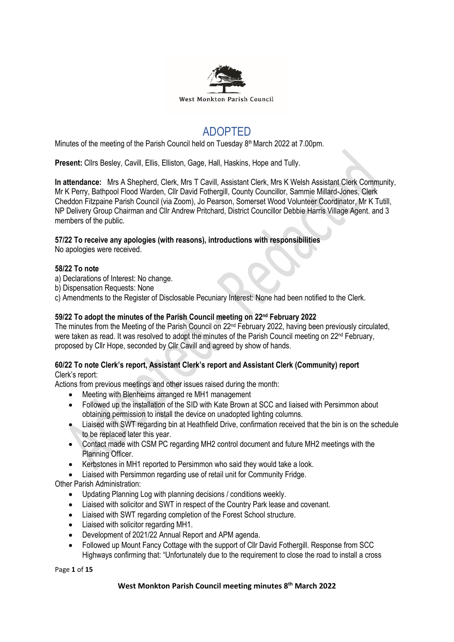

# ADOPTED

Minutes of the meeting of the Parish Council held on Tuesday 8<sup>th</sup> March 2022 at 7.00pm.

**Present:** Cllrs Besley, Cavill, Ellis, Elliston, Gage, Hall, Haskins, Hope and Tully.

**In attendance:** Mrs A Shepherd, Clerk, Mrs T Cavill, Assistant Clerk, Mrs K Welsh Assistant Clerk Community, Mr K Perry, Bathpool Flood Warden, Cllr David Fothergill, County Councillor, Sammie Millard-Jones, Clerk Cheddon Fitzpaine Parish Council (via Zoom), Jo Pearson, Somerset Wood Volunteer Coordinator, Mr K Tutill, NP Delivery Group Chairman and Cllr Andrew Pritchard, District Councillor Debbie Harris Village Agent. and 3 members of the public.

### **57/22 To receive any apologies (with reasons), introductions with responsibilities**

No apologies were received.

#### **58/22 To note**

- a) Declarations of Interest: No change.
- b) Dispensation Requests: None

c) Amendments to the Register of Disclosable Pecuniary Interest: None had been notified to the Clerk.

### **59/22 To adopt the minutes of the Parish Council meeting on 22 nd February 2022**

The minutes from the Meeting of the Parish Council on 22<sup>nd</sup> February 2022, having been previously circulated, were taken as read. It was resolved to adopt the minutes of the Parish Council meeting on 22<sup>nd</sup> February, proposed by Cllr Hope, seconded by Cllr Cavill and agreed by show of hands.

#### **60/22 To note Clerk's report, Assistant Clerk's report and Assistant Clerk (Community) report** Clerk's report:

Actions from previous meetings and other issues raised during the month:

- Meeting with Blenheims arranged re MH1 management
- Followed up the installation of the SID with Kate Brown at SCC and liaised with Persimmon about obtaining permission to install the device on unadopted lighting columns.
- Liaised with SWT regarding bin at Heathfield Drive, confirmation received that the bin is on the schedule to be replaced later this year.
- Contact made with CSM PC regarding MH2 control document and future MH2 meetings with the Planning Officer.
- Kerbstones in MH1 reported to Persimmon who said they would take a look.
- Liaised with Persimmon regarding use of retail unit for Community Fridge.

Other Parish Administration:

- Updating Planning Log with planning decisions / conditions weekly.
- Liaised with solicitor and SWT in respect of the Country Park lease and covenant.
- Liaised with SWT regarding completion of the Forest School structure.
- Liaised with solicitor regarding MH1.
- Development of 2021/22 Annual Report and APM agenda.
- Followed up Mount Fancy Cottage with the support of Cllr David Fothergill. Response from SCC Highways confirming that: "Unfortunately due to the requirement to close the road to install a cross

Page **1** of **15**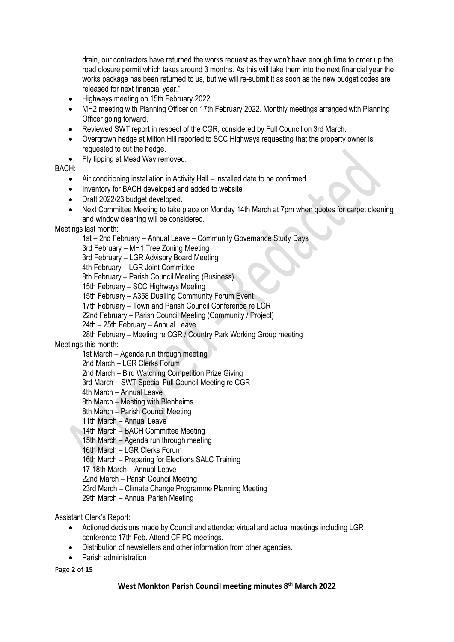drain, our contractors have returned the works request as they won't have enough time to order up the road closure permit which takes around 3 months. As this will take them into the next financial year the works package has been returned to us, but we will re-submit it as soon as the new budget codes are released for next financial year."

- Highways meeting on 15th February 2022.
- MH2 meeting with Planning Officer on 17th February 2022. Monthly meetings arranged with Planning Officer going forward.
- Reviewed SWT report in respect of the CGR, considered by Full Council on 3rd March.
- Overgrown hedge at Milton Hill reported to SCC Highways requesting that the property owner is requested to cut the hedge.
- Fly tipping at Mead Way removed.

### BACH:

- Air conditioning installation in Activity Hall installed date to be confirmed.
- Inventory for BACH developed and added to website
- Draft 2022/23 budget developed.
- Next Committee Meeting to take place on Monday 14th March at 7pm when quotes for carpet cleaning and window cleaning will be considered.

Meetings last month:

1st – 2nd February – Annual Leave – Community Governance Study Days

3rd February – MH1 Tree Zoning Meeting

3rd February – LGR Advisory Board Meeting

4th February – LGR Joint Committee

8th February – Parish Council Meeting (Business)

15th February – SCC Highways Meeting

15th February – A358 Dualling Community Forum Event

17th February – Town and Parish Council Conference re LGR

22nd February – Parish Council Meeting (Community / Project)

24th – 25th February – Annual Leave

28th February – Meeting re CGR / Country Park Working Group meeting

### Meetings this month:

1st March – Agenda run through meeting

2nd March – LGR Clerks Forum

2nd March – Bird Watching Competition Prize Giving

3rd March – SWT Special Full Council Meeting re CGR

4th March – Annual Leave

8th March – Meeting with Blenheims

8th March – Parish Council Meeting

11th March – Annual Leave

14th March – BACH Committee Meeting

15th March – Agenda run through meeting

16th March – LGR Clerks Forum

16th March – Preparing for Elections SALC Training

17-18th March – Annual Leave

22nd March – Parish Council Meeting

23rd March – Climate Change Programme Planning Meeting

29th March – Annual Parish Meeting

Assistant Clerk's Report:

- Actioned decisions made by Council and attended virtual and actual meetings including LGR conference 17th Feb. Attend CF PC meetings.
- Distribution of newsletters and other information from other agencies.
- Parish administration

Page **2** of **15**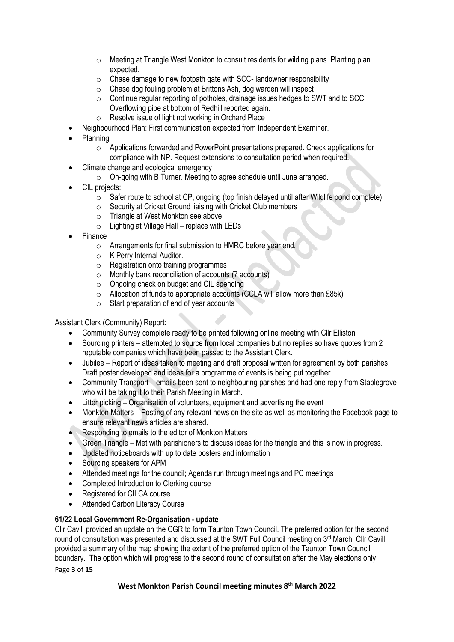- $\circ$  Meeting at Triangle West Monkton to consult residents for wilding plans. Planting plan expected.
- $\circ$  Chase damage to new footpath gate with SCC- landowner responsibility
- o Chase dog fouling problem at Brittons Ash, dog warden will inspect
- $\circ$  Continue regular reporting of potholes, drainage issues hedges to SWT and to SCC Overflowing pipe at bottom of Redhill reported again.
- o Resolve issue of light not working in Orchard Place
- Neighbourhood Plan: First communication expected from Independent Examiner.
- Planning
	- $\circ$  Applications forwarded and PowerPoint presentations prepared. Check applications for compliance with NP. Request extensions to consultation period when required.
- Climate change and ecological emergency
	- o On-going with B Turner. Meeting to agree schedule until June arranged.
- CIL projects:
	- $\circ$  Safer route to school at CP, ongoing (top finish delayed until after Wildlife pond complete).
	- o Security at Cricket Ground liaising with Cricket Club members
	- o Triangle at West Monkton see above
	- $\circ$  Lighting at Village Hall replace with LEDs
- **Finance** 
	- o Arrangements for final submission to HMRC before year end.
	- o K Perry Internal Auditor.
	- $\circ$  Registration onto training programmes
	- o Monthly bank reconciliation of accounts (7 accounts)
	- o Ongoing check on budget and CIL spending
	- o Allocation of funds to appropriate accounts (CCLA will allow more than £85k)
	- $\circ$  Start preparation of end of year accounts

Assistant Clerk (Community) Report:

- Community Survey complete ready to be printed following online meeting with Cllr Elliston
- Sourcing printers attempted to source from local companies but no replies so have quotes from 2 reputable companies which have been passed to the Assistant Clerk.
- Jubilee Report of ideas taken to meeting and draft proposal written for agreement by both parishes. Draft poster developed and ideas for a programme of events is being put together.
- Community Transport emails been sent to neighbouring parishes and had one reply from Staplegrove who will be taking it to their Parish Meeting in March.
- Litter picking Organisation of volunteers, equipment and advertising the event
- Monkton Matters Posting of any relevant news on the site as well as monitoring the Facebook page to ensure relevant news articles are shared.
- Responding to emails to the editor of Monkton Matters
- Green Triangle Met with parishioners to discuss ideas for the triangle and this is now in progress.
- Updated noticeboards with up to date posters and information
- Sourcing speakers for APM
- Attended meetings for the council; Agenda run through meetings and PC meetings
- Completed Introduction to Clerking course
- Registered for CILCA course
- Attended Carbon Literacy Course

### **61/22 Local Government Re-Organisation - update**

Cllr Cavill provided an update on the CGR to form Taunton Town Council. The preferred option for the second round of consultation was presented and discussed at the SWT Full Council meeting on 3rd March. Cllr Cavill provided a summary of the map showing the extent of the preferred option of the Taunton Town Council boundary. The option which will progress to the second round of consultation after the May elections only

Page **3** of **15**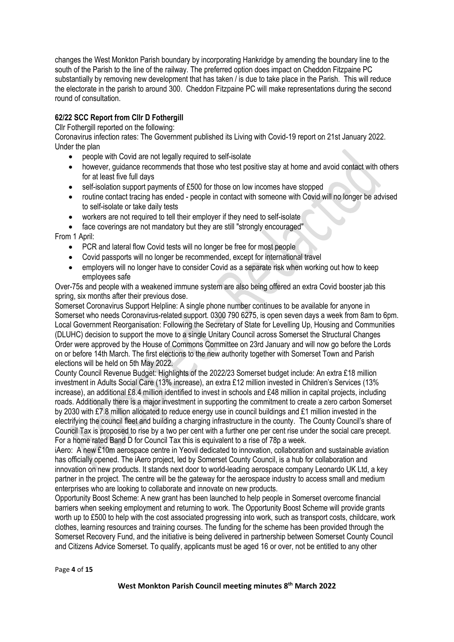changes the West Monkton Parish boundary by incorporating Hankridge by amending the boundary line to the south of the Parish to the line of the railway. The preferred option does impact on Cheddon Fitzpaine PC substantially by removing new development that has taken / is due to take place in the Parish. This will reduce the electorate in the parish to around 300. Cheddon Fitzpaine PC will make representations during the second round of consultation.

# **62/22 SCC Report from Cllr D Fothergill**

Cllr Fothergill reported on the following:

Coronavirus infection rates: The Government published its Living with Covid-19 report on 21st January 2022. Under the plan

- people with Covid are not legally required to self-isolate
- however, quidance recommends that those who test positive stay at home and avoid contact with others for at least five full days
- self-isolation support payments of £500 for those on low incomes have stopped
- routine contact tracing has ended people in contact with someone with Covid will no longer be advised to self-isolate or take daily tests
- workers are not required to tell their employer if they need to self-isolate
- face coverings are not mandatory but they are still "strongly encouraged"

From 1 April:

- PCR and lateral flow Covid tests will no longer be free for most people
- Covid passports will no longer be recommended, except for international travel
- employers will no longer have to consider Covid as a separate risk when working out how to keep employees safe

Over-75s and people with a weakened immune system are also being offered an extra Covid booster jab this spring, six months after their previous dose.

Somerset Coronavirus Support Helpline: A single phone number continues to be available for anyone in Somerset who needs Coronavirus-related support. 0300 790 6275, is open seven days a week from 8am to 6pm. Local Government Reorganisation: Following the Secretary of State for Levelling Up, Housing and Communities (DLUHC) decision to support the move to a single Unitary Council across Somerset the Structural Changes Order were approved by the House of Commons Committee on 23rd January and will now go before the Lords on or before 14th March. The first elections to the new authority together with Somerset Town and Parish elections will be held on 5th May 2022.

County Council Revenue Budget: Highlights of the 2022/23 Somerset budget include: An extra £18 million investment in Adults Social Care (13% increase), an extra £12 million invested in Children's Services (13% increase), an additional £8.4 million identified to invest in schools and £48 million in capital projects, including roads. Additionally there is a major investment in supporting the commitment to create a zero carbon Somerset by 2030 with £7.8 million allocated to reduce energy use in council buildings and £1 million invested in the electrifying the council fleet and building a charging infrastructure in the county. The County Council's share of Council Tax is proposed to rise by a two per cent with a further one per cent rise under the social care precept. For a home rated Band D for Council Tax this is equivalent to a rise of 78p a week.

iAero: A new £10m aerospace centre in Yeovil dedicated to innovation, collaboration and sustainable aviation has officially opened. The iAero project, led by Somerset County Council, is a hub for collaboration and innovation on new products. It stands next door to world-leading aerospace company Leonardo UK Ltd, a key partner in the project. The centre will be the gateway for the aerospace industry to access small and medium enterprises who are looking to collaborate and innovate on new products.

Opportunity Boost Scheme: A new grant has been launched to help people in Somerset overcome financial barriers when seeking employment and returning to work. The Opportunity Boost Scheme will provide grants worth up to £500 to help with the cost associated progressing into work, such as transport costs, childcare, work clothes, learning resources and training courses. The funding for the scheme has been provided through the Somerset Recovery Fund, and the initiative is being delivered in partnership between Somerset County Council and Citizens Advice Somerset. To qualify, applicants must be aged 16 or over, not be entitled to any other

Page **4** of **15**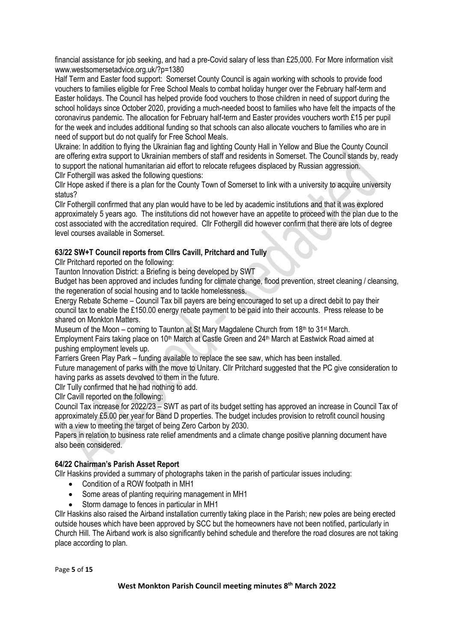financial assistance for job seeking, and had a pre-Covid salary of less than £25,000. For More information visit www.westsomersetadvice.org.uk/?p=1380

Half Term and Easter food support: Somerset County Council is again working with schools to provide food vouchers to families eligible for Free School Meals to combat holiday hunger over the February half-term and Easter holidays. The Council has helped provide food vouchers to those children in need of support during the school holidays since October 2020, providing a much-needed boost to families who have felt the impacts of the coronavirus pandemic. The allocation for February half-term and Easter provides vouchers worth £15 per pupil for the week and includes additional funding so that schools can also allocate vouchers to families who are in need of support but do not qualify for Free School Meals.

Ukraine: In addition to flying the Ukrainian flag and lighting County Hall in Yellow and Blue the County Council are offering extra support to Ukrainian members of staff and residents in Somerset. The Council stands by, ready to support the national humanitarian aid effort to relocate refugees displaced by Russian aggression. Cllr Fothergill was asked the following questions:

Cllr Hope asked if there is a plan for the County Town of Somerset to link with a university to acquire university status?

Cllr Fothergill confirmed that any plan would have to be led by academic institutions and that it was explored approximately 5 years ago. The institutions did not however have an appetite to proceed with the plan due to the cost associated with the accreditation required. Cllr Fothergill did however confirm that there are lots of degree level courses available in Somerset.

# **63/22 SW+T Council reports from Cllrs Cavill, Pritchard and Tully**

Cllr Pritchard reported on the following:

Taunton Innovation District: a Briefing is being developed by SWT

Budget has been approved and includes funding for climate change, flood prevention, street cleaning / cleansing, the regeneration of social housing and to tackle homelessness.

Energy Rebate Scheme – Council Tax bill payers are being encouraged to set up a direct debit to pay their council tax to enable the £150.00 energy rebate payment to be paid into their accounts. Press release to be shared on Monkton Matters.

Museum of the Moon – coming to Taunton at St Mary Magdalene Church from 18th to 31st March.

Employment Fairs taking place on 10<sup>th</sup> March at Castle Green and 24<sup>th</sup> March at Eastwick Road aimed at pushing employment levels up.

Farriers Green Play Park – funding available to replace the see saw, which has been installed.

Future management of parks with the move to Unitary. Cllr Pritchard suggested that the PC give consideration to having parks as assets devolved to them in the future.

Cllr Tully confirmed that he had nothing to add.

Cllr Cavill reported on the following:

Council Tax increase for 2022/23 – SWT as part of its budget setting has approved an increase in Council Tax of approximately £5.00 per year for Band D properties. The budget includes provision to retrofit council housing with a view to meeting the target of being Zero Carbon by 2030.

Papers in relation to business rate relief amendments and a climate change positive planning document have also been considered.

### **64/22 Chairman's Parish Asset Report**

Cllr Haskins provided a summary of photographs taken in the parish of particular issues including:

- Condition of a ROW footpath in MH1
- Some areas of planting requiring management in MH1
- Storm damage to fences in particular in MH1

Cllr Haskins also raised the Airband installation currently taking place in the Parish; new poles are being erected outside houses which have been approved by SCC but the homeowners have not been notified, particularly in Church Hill. The Airband work is also significantly behind schedule and therefore the road closures are not taking place according to plan.

Page **5** of **15**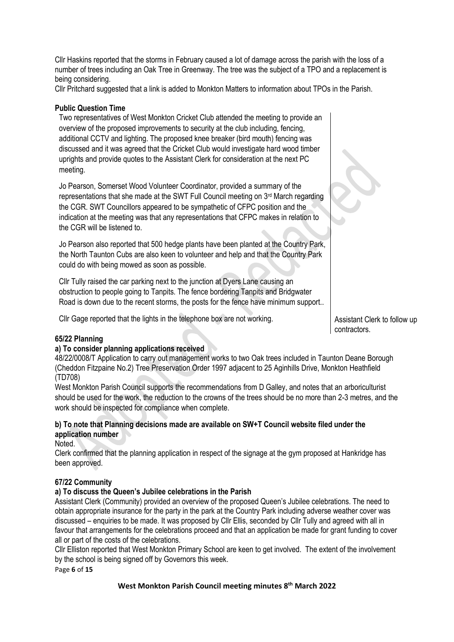Cllr Haskins reported that the storms in February caused a lot of damage across the parish with the loss of a number of trees including an Oak Tree in Greenway. The tree was the subject of a TPO and a replacement is being considering.

Cllr Pritchard suggested that a link is added to Monkton Matters to information about TPOs in the Parish.

### **Public Question Time**

Two representatives of West Monkton Cricket Club attended the meeting to provide an overview of the proposed improvements to security at the club including, fencing, additional CCTV and lighting. The proposed knee breaker (bird mouth) fencing was discussed and it was agreed that the Cricket Club would investigate hard wood timber uprights and provide quotes to the Assistant Clerk for consideration at the next PC meeting.

Jo Pearson, Somerset Wood Volunteer Coordinator, provided a summary of the representations that she made at the SWT Full Council meeting on 3rd March regarding the CGR. SWT Councillors appeared to be sympathetic of CFPC position and the indication at the meeting was that any representations that CFPC makes in relation to the CGR will be listened to.

Jo Pearson also reported that 500 hedge plants have been planted at the Country Park, the North Taunton Cubs are also keen to volunteer and help and that the Country Park could do with being mowed as soon as possible.

Cllr Tully raised the car parking next to the junction at Dyers Lane causing an obstruction to people going to Tanpits. The fence bordering Tanpits and Bridgwater Road is down due to the recent storms, the posts for the fence have minimum support..

Cllr Gage reported that the lights in the telephone box are not working. Assistant Clerk to follow up

contractors.

#### **65/22 Planning**

#### **a) To consider planning applications received**

48/22/0008/T Application to carry out management works to two Oak trees included in Taunton Deane Borough (Cheddon Fitzpaine No.2) Tree Preservation Order 1997 adjacent to 25 Aginhills Drive, Monkton Heathfield (TD708)

West Monkton Parish Council supports the recommendations from D Galley, and notes that an arboriculturist should be used for the work, the reduction to the crowns of the trees should be no more than 2-3 metres, and the work should be inspected for compliance when complete.

### **b) To note that Planning decisions made are available on SW+T Council website filed under the application number**

Noted.

Clerk confirmed that the planning application in respect of the signage at the gym proposed at Hankridge has been approved.

### **67/22 Community**

### **a) To discuss the Queen's Jubilee celebrations in the Parish**

Assistant Clerk (Community) provided an overview of the proposed Queen's Jubilee celebrations. The need to obtain appropriate insurance for the party in the park at the Country Park including adverse weather cover was discussed – enquiries to be made. It was proposed by Cllr Ellis, seconded by Cllr Tully and agreed with all in favour that arrangements for the celebrations proceed and that an application be made for grant funding to cover all or part of the costs of the celebrations.

Cllr Elliston reported that West Monkton Primary School are keen to get involved. The extent of the involvement by the school is being signed off by Governors this week.

Page **6** of **15**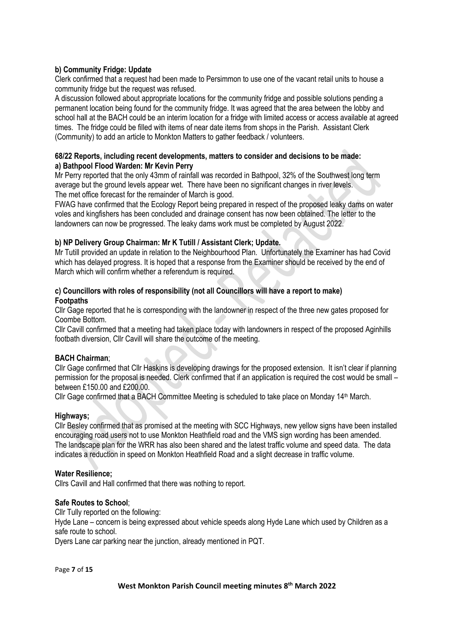# **b) Community Fridge: Update**

Clerk confirmed that a request had been made to Persimmon to use one of the vacant retail units to house a community fridge but the request was refused.

A discussion followed about appropriate locations for the community fridge and possible solutions pending a permanent location being found for the community fridge. It was agreed that the area between the lobby and school hall at the BACH could be an interim location for a fridge with limited access or access available at agreed times. The fridge could be filled with items of near date items from shops in the Parish. Assistant Clerk (Community) to add an article to Monkton Matters to gather feedback / volunteers.

#### **68/22 Reports, including recent developments, matters to consider and decisions to be made: a) Bathpool Flood Warden: Mr Kevin Perry**

Mr Perry reported that the only 43mm of rainfall was recorded in Bathpool, 32% of the Southwest long term average but the ground levels appear wet. There have been no significant changes in river levels. The met office forecast for the remainder of March is good.

FWAG have confirmed that the Ecology Report being prepared in respect of the proposed leaky dams on water voles and kingfishers has been concluded and drainage consent has now been obtained. The letter to the landowners can now be progressed. The leaky dams work must be completed by August 2022.

### **b) NP Delivery Group Chairman: Mr K Tutill / Assistant Clerk; Update.**

Mr Tutill provided an update in relation to the Neighbourhood Plan. Unfortunately the Examiner has had Covid which has delayed progress. It is hoped that a response from the Examiner should be received by the end of March which will confirm whether a referendum is required.

### **c) Councillors with roles of responsibility (not all Councillors will have a report to make) Footpaths**

Cllr Gage reported that he is corresponding with the landowner in respect of the three new gates proposed for Coombe Bottom.

Cllr Cavill confirmed that a meeting had taken place today with landowners in respect of the proposed Aginhills footbath diversion, Cllr Cavill will share the outcome of the meeting.

### **BACH Chairman**;

Cllr Gage confirmed that Cllr Haskins is developing drawings for the proposed extension. It isn't clear if planning permission for the proposal is needed. Clerk confirmed that if an application is required the cost would be small – between £150.00 and £200.00.

Cllr Gage confirmed that a BACH Committee Meeting is scheduled to take place on Monday 14<sup>th</sup> March.

### **Highways;**

Cllr Besley confirmed that as promised at the meeting with SCC Highways, new yellow signs have been installed encouraging road users not to use Monkton Heathfield road and the VMS sign wording has been amended. The landscape plan for the WRR has also been shared and the latest traffic volume and speed data. The data indicates a reduction in speed on Monkton Heathfield Road and a slight decrease in traffic volume.

### **Water Resilience;**

Cllrs Cavill and Hall confirmed that there was nothing to report.

### **Safe Routes to School**;

Cllr Tully reported on the following:

Hyde Lane – concern is being expressed about vehicle speeds along Hyde Lane which used by Children as a safe route to school.

Dyers Lane car parking near the junction, already mentioned in PQT.

Page **7** of **15**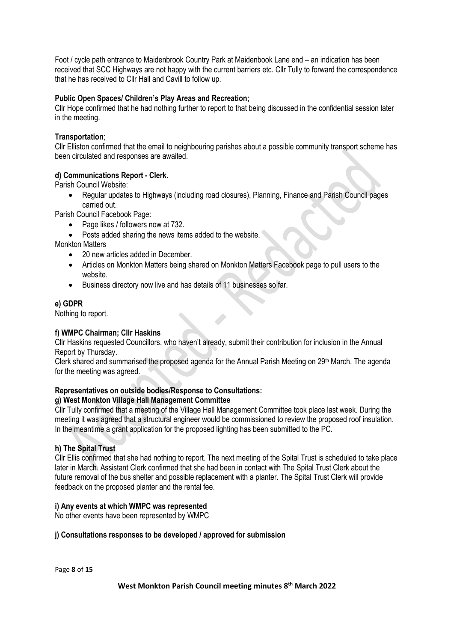Foot / cycle path entrance to Maidenbrook Country Park at Maidenbook Lane end – an indication has been received that SCC Highways are not happy with the current barriers etc. Cllr Tully to forward the correspondence that he has received to Cllr Hall and Cavill to follow up.

### **Public Open Spaces/ Children's Play Areas and Recreation;**

Cllr Hope confirmed that he had nothing further to report to that being discussed in the confidential session later in the meeting.

### **Transportation**;

Cllr Elliston confirmed that the email to neighbouring parishes about a possible community transport scheme has been circulated and responses are awaited.

# **d) Communications Report - Clerk.**

Parish Council Website:

• Regular updates to Highways (including road closures), Planning, Finance and Parish Council pages carried out.

Parish Council Facebook Page:

- Page likes / followers now at 732.
- Posts added sharing the news items added to the website.

Monkton Matters

- 20 new articles added in December.
- Articles on Monkton Matters being shared on Monkton Matters Facebook page to pull users to the website.
- Business directory now live and has details of 11 businesses so far.

#### **e) GDPR**

Nothing to report.

### **f) WMPC Chairman; Cllr Haskins**

Cllr Haskins requested Councillors, who haven't already, submit their contribution for inclusion in the Annual Report by Thursday.

Clerk shared and summarised the proposed agenda for the Annual Parish Meeting on  $29<sup>th</sup>$  March. The agenda for the meeting was agreed.

# **Representatives on outside bodies/Response to Consultations:**

### **g) West Monkton Village Hall Management Committee**

Cllr Tully confirmed that a meeting of the Village Hall Management Committee took place last week. During the meeting it was agreed that a structural engineer would be commissioned to review the proposed roof insulation. In the meantime a grant application for the proposed lighting has been submitted to the PC.

### **h) The Spital Trust**

Cllr Ellis confirmed that she had nothing to report. The next meeting of the Spital Trust is scheduled to take place later in March. Assistant Clerk confirmed that she had been in contact with The Spital Trust Clerk about the future removal of the bus shelter and possible replacement with a planter. The Spital Trust Clerk will provide feedback on the proposed planter and the rental fee.

#### **i) Any events at which WMPC was represented**

No other events have been represented by WMPC

#### **j) Consultations responses to be developed / approved for submission**

Page **8** of **15**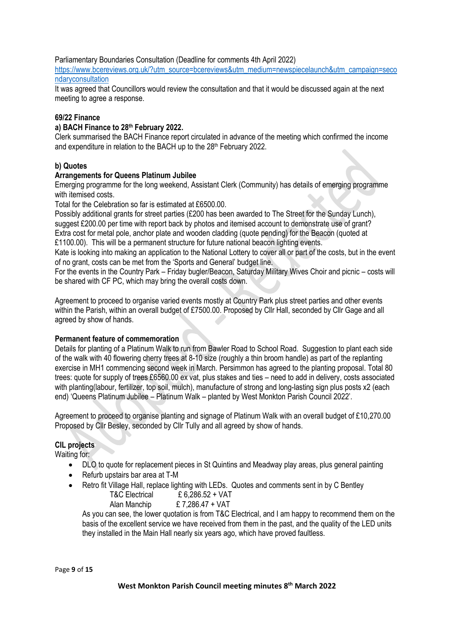Parliamentary Boundaries Consultation (Deadline for comments 4th April 2022)

[https://www.bcereviews.org.uk/?utm\\_source=bcereviews&utm\\_medium=newspiecelaunch&utm\\_campaign=seco](https://www.bcereviews.org.uk/?utm_source=bcereviews&utm_medium=newspiecelaunch&utm_campaign=secondaryconsultation) [ndaryconsultation](https://www.bcereviews.org.uk/?utm_source=bcereviews&utm_medium=newspiecelaunch&utm_campaign=secondaryconsultation)

It was agreed that Councillors would review the consultation and that it would be discussed again at the next meeting to agree a response.

#### **69/22 Finance**

#### **a) BACH Finance to 28th February 2022.**

Clerk summarised the BACH Finance report circulated in advance of the meeting which confirmed the income and expenditure in relation to the BACH up to the 28<sup>th</sup> February 2022.

### **b) Quotes**

#### **Arrangements for Queens Platinum Jubilee**

Emerging programme for the long weekend, Assistant Clerk (Community) has details of emerging programme with itemised costs.

Total for the Celebration so far is estimated at £6500.00.

Possibly additional grants for street parties (£200 has been awarded to The Street for the Sunday Lunch), suggest £200.00 per time with report back by photos and itemised account to demonstrate use of grant? Extra cost for metal pole, anchor plate and wooden cladding (quote pending) for the Beacon (quoted at £1100.00). This will be a permanent structure for future national beacon lighting events.

Kate is looking into making an application to the National Lottery to cover all or part of the costs, but in the event of no grant, costs can be met from the 'Sports and General' budget line.

For the events in the Country Park – Friday bugler/Beacon, Saturday Military Wives Choir and picnic – costs will be shared with CF PC, which may bring the overall costs down.

Agreement to proceed to organise varied events mostly at Country Park plus street parties and other events within the Parish, within an overall budget of £7500.00. Proposed by Cllr Hall, seconded by Cllr Gage and all agreed by show of hands.

#### **Permanent feature of commemoration**

Details for planting of a Platinum Walk to run from Bawler Road to School Road. Suggestion to plant each side of the walk with 40 flowering cherry trees at 8-10 size (roughly a thin broom handle) as part of the replanting exercise in MH1 commencing second week in March. Persimmon has agreed to the planting proposal. Total 80 trees: quote for supply of trees £6560.00 ex vat, plus stakes and ties – need to add in delivery, costs associated with planting(labour, fertilizer, top soil, mulch), manufacture of strong and long-lasting sign plus posts x2 (each end) 'Queens Platinum Jubilee – Platinum Walk – planted by West Monkton Parish Council 2022'.

Agreement to proceed to organise planting and signage of Platinum Walk with an overall budget of £10,270.00 Proposed by Cllr Besley, seconded by Cllr Tully and all agreed by show of hands.

### **CIL projects**

Waiting for:

- DLO to quote for replacement pieces in St Quintins and Meadway play areas, plus general painting
- Refurb upstairs bar area at T-M
- Retro fit Village Hall, replace lighting with LEDs. Quotes and comments sent in by C Bentley

| T&C Electrical | £ 6,286.52 + VAT |
|----------------|------------------|
| Alan Manchip   | £ 7,286.47 + VAT |

As you can see, the lower quotation is from T&C Electrical, and I am happy to recommend them on the basis of the excellent service we have received from them in the past, and the quality of the LED units they installed in the Main Hall nearly six years ago, which have proved faultless.

Page **9** of **15**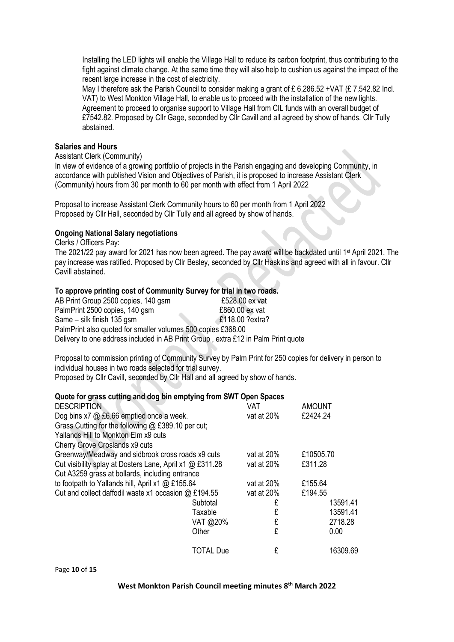Installing the LED lights will enable the Village Hall to reduce its carbon footprint, thus contributing to the fight against climate change. At the same time they will also help to cushion us against the impact of the recent large increase in the cost of electricity.

May I therefore ask the Parish Council to consider making a grant of £6,286,52 + VAT (£7,542,82 Incl. VAT) to West Monkton Village Hall, to enable us to proceed with the installation of the new lights. Agreement to proceed to organise support to Village Hall from CIL funds with an overall budget of £7542.82. Proposed by Cllr Gage, seconded by Cllr Cavill and all agreed by show of hands. Cllr Tully abstained.

### **Salaries and Hours**

Assistant Clerk (Community)

In view of evidence of a growing portfolio of projects in the Parish engaging and developing Community, in accordance with published Vision and Objectives of Parish, it is proposed to increase Assistant Clerk (Community) hours from 30 per month to 60 per month with effect from 1 April 2022

Proposal to increase Assistant Clerk Community hours to 60 per month from 1 April 2022 Proposed by Cllr Hall, seconded by Cllr Tully and all agreed by show of hands.

#### **Ongoing National Salary negotiations**

Clerks / Officers Pay:

The 2021/22 pay award for 2021 has now been agreed. The pay award will be backdated until 1st April 2021. The pay increase was ratified. Proposed by Cllr Besley, seconded by Cllr Haskins and agreed with all in favour. Cllr Cavill abstained.

#### **To approve printing cost of Community Survey for trial in two roads.**

| AB Print Group 2500 copies, 140 gsm                                               | £528.00 ex vat  |  |  |  |  |  |
|-----------------------------------------------------------------------------------|-----------------|--|--|--|--|--|
| PalmPrint 2500 copies, 140 gsm                                                    | £860.00 ex vat  |  |  |  |  |  |
| Same - silk finish 135 gsm                                                        | £118.00 ?extra? |  |  |  |  |  |
| PalmPrint also quoted for smaller volumes 500 copies £368.00                      |                 |  |  |  |  |  |
| Delivery to one address included in AB Print Group, extra £12 in Palm Print quote |                 |  |  |  |  |  |

Proposal to commission printing of Community Survey by Palm Print for 250 copies for delivery in person to individual houses in two roads selected for trial survey.

Proposed by Cllr Cavill, seconded by Cllr Hall and all agreed by show of hands.

### **Quote for grass cutting and dog bin emptying from SWT Open Spaces**

| <b>DESCRIPTION</b>                                       |                  | VAT           | <b>AMOUNT</b> |
|----------------------------------------------------------|------------------|---------------|---------------|
| Dog bins x7 @ £6.66 emptied once a week.                 |                  | vat at 20%    | £2424.24      |
| Grass Cutting for the following @ £389.10 per cut;       |                  |               |               |
| Yallands Hill to Monkton Elm x9 cuts                     |                  |               |               |
| Cherry Grove Croslands x9 cuts                           |                  |               |               |
| Greenway/Meadway and sidbrook cross roads x9 cuts        |                  | vat at 20%    | £10505.70     |
| Cut visibility splay at Dosters Lane, April x1 @ £311.28 |                  | vat at 20%    | £311.28       |
| Cut A3259 grass at bollards, including entrance          |                  |               |               |
| to footpath to Yallands hill, April x1 @ £155.64         |                  | vat at 20%    | £155.64       |
| Cut and collect daffodil waste x1 occasion $@$ £194.55   |                  | vat at $20\%$ | £194.55       |
|                                                          | Subtotal         | £             | 13591.41      |
|                                                          | Taxable          | £             | 13591.41      |
|                                                          | VAT @20%         | £             | 2718.28       |
|                                                          | Other            | £             | 0.00          |
|                                                          | <b>TOTAL Due</b> | £             | 16309.69      |
|                                                          |                  |               |               |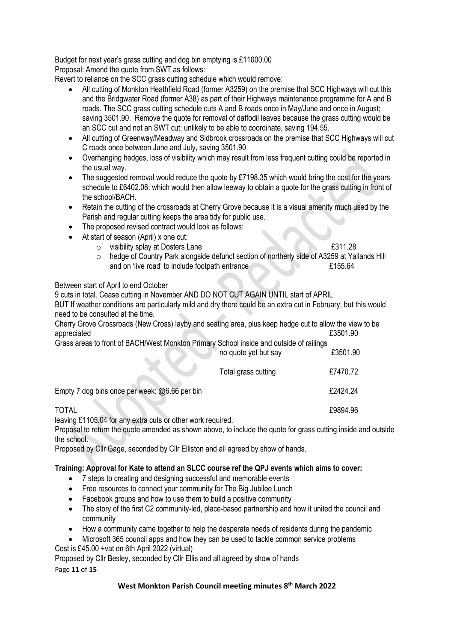Budget for next year's grass cutting and dog bin emptying is £11000.00 Proposal: Amend the quote from SWT as follows:

Revert to reliance on the SCC grass cutting schedule which would remove:

- All cutting of Monkton Heathfield Road (former A3259) on the premise that SCC Highways will cut this and the Bridgwater Road (former A38) as part of their Highways maintenance programme for A and B roads. The SCC grass cutting schedule cuts A and B roads once in May/June and once in August; saving 3501.90. Remove the quote for removal of daffodil leaves because the grass cutting would be an SCC cut and not an SWT cut; unlikely to be able to coordinate, saving 194.55.
- All cutting of Greenway/Meadway and Sidbrook crossroads on the premise that SCC Highways will cut C roads once between June and July, saving 3501.90
- Overhanging hedges, loss of visibility which may result from less frequent cutting could be reported in the usual way.
- The suggested removal would reduce the guote by £7198.35 which would bring the cost for the years schedule to £6402.06: which would then allow leeway to obtain a quote for the grass cutting in front of the school/BACH.
- Retain the cutting of the crossroads at Cherry Grove because it is a visual amenity much used by the Parish and regular cutting keeps the area tidy for public use.
- The proposed revised contract would look as follows:
- At start of season (April) x one cut:
	- o visibility splay at Dosters Lane £311.28

 $\circ$  hedge of Country Park alongside defunct section of northerly side of A3259 at Yallands Hill and on 'live road' to include footpath entrance **E155.64** 

# Between start of April to end October

9 cuts in total. Cease cutting in November AND DO NOT CUT AGAIN UNTIL start of APRIL BUT If weather conditions are particularly mild and dry there could be an extra cut in February, but this would need to be consulted at the time. Cherry Grove Crossroads (New Cross) layby and seating area, plus keep hedge cut to allow the view to be appreciated **£3501.90** 

Grass areas to front of BACH/West Monkton Primary School inside and outside of railings

| <u>UNUO UNUO IDI IUNI UNI INTUOLINUMENTIINI EURONO UNUO UNUO UNUO UNI IUNI I</u> | no quote yet but say | £3501.90 |
|----------------------------------------------------------------------------------|----------------------|----------|
|                                                                                  | Total grass cutting  | £7470.72 |
| Empty 7 dog bins once per week: @6.66 per bin                                    |                      | £2424.24 |
| TOTAL                                                                            |                      | £9894.96 |

leaving £1105.04 for any extra cuts or other work required.

Proposal to return the quote amended as shown above, to include the quote for grass cutting inside and outside the school.

Proposed by Cllr Gage, seconded by Cllr Elliston and all agreed by show of hands.

### **Training: Approval for Kate to attend an SLCC course ref the QPJ events which aims to cover:**

- 7 steps to creating and designing successful and memorable events
- Free resources to connect your community for The Big Jubilee Lunch
- Facebook groups and how to use them to build a positive community
- The story of the first C2 community-led, place-based partnership and how it united the council and community
- How a community came together to help the desperate needs of residents during the pandemic
- Microsoft 365 council apps and how they can be used to tackle common service problems

Cost is £45.00 +vat on 6th April 2022 (virtual)

Proposed by Cllr Besley, seconded by Cllr Ellis and all agreed by show of hands

Page **11** of **15**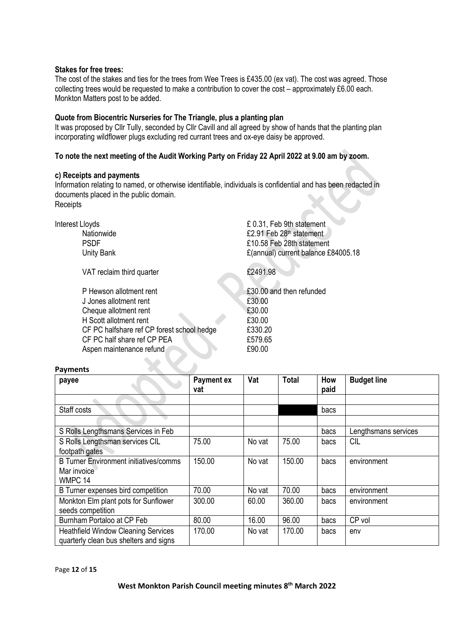#### **Stakes for free trees:**

The cost of the stakes and ties for the trees from Wee Trees is £435.00 (ex vat). The cost was agreed. Those collecting trees would be requested to make a contribution to cover the cost – approximately £6.00 each. Monkton Matters post to be added.

#### **Quote from Biocentric Nurseries for The Triangle, plus a planting plan**

It was proposed by Cllr Tully, seconded by Cllr Cavill and all agreed by show of hands that the planting plan incorporating wildflower plugs excluding red currant trees and ox-eye daisy be approved.

#### **To note the next meeting of the Audit Working Party on Friday 22 April 2022 at 9.00 am by zoom.**

#### **c) Receipts and payments**

Information relating to named, or otherwise identifiable, individuals is confidential and has been redacted in documents placed in the public domain. Receipts

| Interest Lloyds<br>Nationwide<br><b>PSDF</b><br>Unity Bank                                                                                                                        | £ 0.31, Feb 9th statement<br>£2.91 Feb 28 <sup>th</sup> statement<br>£10.58 Feb 28th statement<br>£(annual) current balance £84005.18 |
|-----------------------------------------------------------------------------------------------------------------------------------------------------------------------------------|---------------------------------------------------------------------------------------------------------------------------------------|
| VAT reclaim third quarter                                                                                                                                                         | £2491.98                                                                                                                              |
| P Hewson allotment rent<br>J Jones allotment rent<br>Cheque allotment rent<br>H Scott allotment rent<br>CF PC halfshare ref CP forest school hedge<br>CF PC half share ref CP PEA | £30.00 and then refunded<br>£30.00<br>£30.00<br>£30.00<br>£330.20<br>£579.65                                                          |
| Aspen maintenance refund                                                                                                                                                          | £90.00                                                                                                                                |

#### **Payments**

| payee                                         | <b>Payment ex</b><br>vat | Vat    | <b>Total</b> | How<br>paid | <b>Budget line</b>   |
|-----------------------------------------------|--------------------------|--------|--------------|-------------|----------------------|
|                                               |                          |        |              |             |                      |
| Staff costs                                   |                          |        |              | bacs        |                      |
|                                               |                          |        |              |             |                      |
| S Rolls Lengthsmans Services in Feb           |                          |        |              | bacs        | Lengthsmans services |
| S Rolls Lengthsman services CIL               | 75.00                    | No vat | 75.00        | bacs        | <b>CIL</b>           |
| footpath gates                                |                          |        |              |             |                      |
| <b>B Turner Environment initiatives/comms</b> | 150.00                   | No vat | 150.00       | bacs        | environment          |
| Mar invoice                                   |                          |        |              |             |                      |
| WMPC 14                                       |                          |        |              |             |                      |
| B Turner expenses bird competition            | 70.00                    | No vat | 70.00        | bacs        | environment          |
| Monkton Elm plant pots for Sunflower          | 300.00                   | 60.00  | 360.00       | bacs        | environment          |
| seeds competition                             |                          |        |              |             |                      |
| Burnham Portaloo at CP Feb                    | 80.00                    | 16.00  | 96.00        | bacs        | CP vol               |
| <b>Heathfield Window Cleaning Services</b>    | 170.00                   | No vat | 170.00       | bacs        | env                  |
| quarterly clean bus shelters and signs        |                          |        |              |             |                      |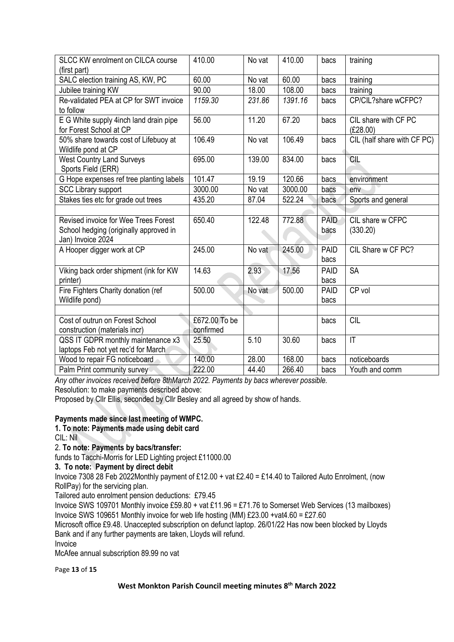| SLCC KW enrolment on CILCA course<br>(first part)                         | 410.00        | No vat | 410.00  | bacs                | training                         |
|---------------------------------------------------------------------------|---------------|--------|---------|---------------------|----------------------------------|
| SALC election training AS, KW, PC                                         | 60.00         | No vat | 60.00   | bacs                | training                         |
| Jubilee training KW                                                       | 90.00         | 18.00  | 108.00  | bacs                | training                         |
| Re-validated PEA at CP for SWT invoice<br>to follow                       | 1159.30       | 231.86 | 1391.16 | bacs                | CP/CIL?share wCFPC?              |
| E G White supply 4inch land drain pipe<br>for Forest School at CP         | 56.00         | 11.20  | 67.20   | bacs                | CIL share with CF PC<br>(E28.00) |
| 50% share towards cost of Lifebuoy at<br>Wildlife pond at CP              | 106.49        | No vat | 106.49  | bacs                | CIL (half share with CF PC)      |
| <b>West Country Land Surveys</b><br>Sports Field (ERR)                    | 695.00        | 139.00 | 834.00  | bacs                | CIL                              |
| G Hope expenses ref tree planting labels                                  | 101.47        | 19.19  | 120.66  | bacs                | environment                      |
| <b>SCC Library support</b>                                                | 3000.00       | No vat | 3000.00 | bacs                | env                              |
| Stakes ties etc for grade out trees                                       | 435.20        | 87.04  | 522.24  | bacs                | Sports and general               |
|                                                                           |               |        |         |                     |                                  |
| Revised invoice for Wee Trees Forest                                      | 650.40        | 122.48 | 772.88  | <b>PAID</b>         | CIL share w CFPC                 |
| School hedging (originally approved in<br>Jan) Invoice 2024               |               |        |         | bacs                | (330.20)                         |
| A Hooper digger work at CP                                                | 245.00        | No vat | 245.00  | PAID<br>bacs        | CIL Share w CF PC?               |
| Viking back order shipment (ink for KW<br>printer)                        | 14.63         | 2.93   | 17.56   | <b>PAID</b><br>bacs | <b>SA</b>                        |
| Fire Fighters Charity donation (ref<br>Wildlife pond)                     | 500.00        | No vat | 500.00  | PAID<br>bacs        | CP vol                           |
|                                                                           |               |        |         |                     |                                  |
| Cost of outrun on Forest School                                           | £672.00 To be |        |         | bacs                | <b>CIL</b>                       |
| construction (materials incr)                                             | confirmed     |        |         |                     |                                  |
| QSS IT GDPR monthly maintenance x3<br>laptops Feb not yet rec'd for March | 25.50         | 5.10   | 30.60   | bacs                | $\mathsf{I}\mathsf{T}$           |
| Wood to repair FG noticeboard                                             | 140.00        | 28.00  | 168.00  | bacs                | noticeboards                     |
| Palm Print community survey                                               | 222.00        | 44.40  | 266.40  | bacs                | Youth and comm                   |

*Any other invoices received before 8thMarch 2022. Payments by bacs wherever possible.*

Resolution: to make payments described above:

Proposed by Cllr Ellis, seconded by Cllr Besley and all agreed by show of hands.

### **Payments made since last meeting of WMPC.**

**1. To note: Payments made using debit card**

CIL: Nil

#### 2. **To note: Payments by bacs/transfer:**

funds to Tacchi-Morris for LED Lighting project £11000.00

#### **3. To note: Payment by direct debit**

Invoice 7308 28 Feb 2022Monthly payment of £12.00 + vat £2.40 = £14.40 to Tailored Auto Enrolment, (now RollPay) for the servicing plan.

Tailored auto enrolment pension deductions: £79.45

Invoice SWS 109701 Monthly invoice £59.80 + vat £11.96 = £71.76 to Somerset Web Services (13 mailboxes) Invoice SWS 109651 Monthly invoice for web life hosting (MM) £23.00 +vat4.60 = £27.60

Microsoft office £9.48. Unaccepted subscription on defunct laptop. 26/01/22 Has now been blocked by Lloyds Bank and if any further payments are taken, Lloyds will refund.

Invoice

McAfee annual subscription 89.99 no vat

Page **13** of **15**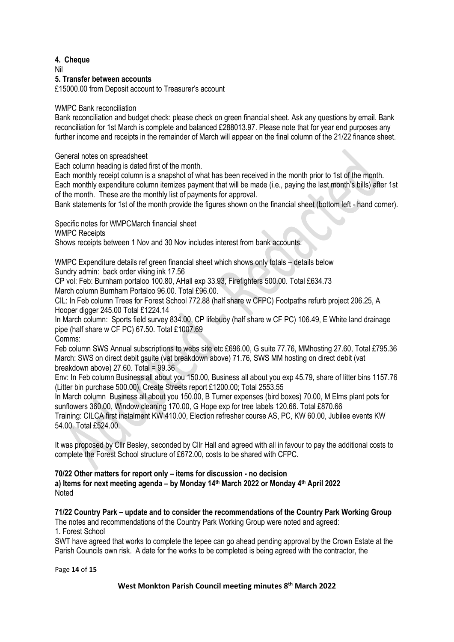#### **4. Cheque** Nil **5. Transfer between accounts** £15000.00 from Deposit account to Treasurer's account

#### WMPC Bank reconciliation

Bank reconciliation and budget check: please check on green financial sheet. Ask any questions by email. Bank reconciliation for 1st March is complete and balanced £288013.97. Please note that for year end purposes any further income and receipts in the remainder of March will appear on the final column of the 21/22 finance sheet.

General notes on spreadsheet

Each column heading is dated first of the month.

Each monthly receipt column is a snapshot of what has been received in the month prior to 1st of the month. Each monthly expenditure column itemizes payment that will be made (i.e., paying the last month's bills) after 1st of the month. These are the monthly list of payments for approval.

Bank statements for 1st of the month provide the figures shown on the financial sheet (bottom left - hand corner).

Specific notes for WMPCMarch financial sheet

WMPC Receipts

Shows receipts between 1 Nov and 30 Nov includes interest from bank accounts.

WMPC Expenditure details ref green financial sheet which shows only totals – details below Sundry admin: back order viking ink 17.56

CP vol: Feb: Burnham portaloo 100.80, AHall exp 33.93, Firefighters 500.00. Total £634.73 March column Burnham Portaloo 96.00. Total £96.00.

CIL: In Feb column Trees for Forest School 772.88 (half share w CFPC) Footpaths refurb project 206.25, A Hooper digger 245.00 Total £1224.14

In March column: Sports field survey 834.00, CP lifebuoy (half share w CF PC) 106.49, E White land drainage pipe (half share w CF PC) 67.50. Total £1007.69

Comms:

Feb column SWS Annual subscriptions to webs site etc £696.00, G suite 77.76, MMhosting 27.60, Total £795.36 March: SWS on direct debit gsuite (vat breakdown above) 71.76, SWS MM hosting on direct debit (vat breakdown above) 27.60. Total = 99.36

Env: In Feb column Business all about you 150.00, Business all about you exp 45.79, share of litter bins 1157.76 (Litter bin purchase 500.00), Create Streets report £1200.00; Total 2553.55

In March column Business all about you 150.00, B Turner expenses (bird boxes) 70.00, M Elms plant pots for sunflowers 360.00, Window cleaning 170.00, G Hope exp for tree labels 120.66. Total £870.66 Training: CILCA first instalment KW 410.00, Election refresher course AS, PC, KW 60.00, Jubilee events KW 54.00. Total £524.00.

It was proposed by Cllr Besley, seconded by Cllr Hall and agreed with all in favour to pay the additional costs to complete the Forest School structure of £672.00, costs to be shared with CFPC.

#### **70/22 Other matters for report only – items for discussion - no decision a) Items for next meeting agenda – by Monday 14 th March 2022 or Monday 4 th April 2022 Noted**

# **71/22 Country Park – update and to consider the recommendations of the Country Park Working Group**

The notes and recommendations of the Country Park Working Group were noted and agreed:

1. Forest School

SWT have agreed that works to complete the tepee can go ahead pending approval by the Crown Estate at the Parish Councils own risk. A date for the works to be completed is being agreed with the contractor, the

Page **14** of **15**